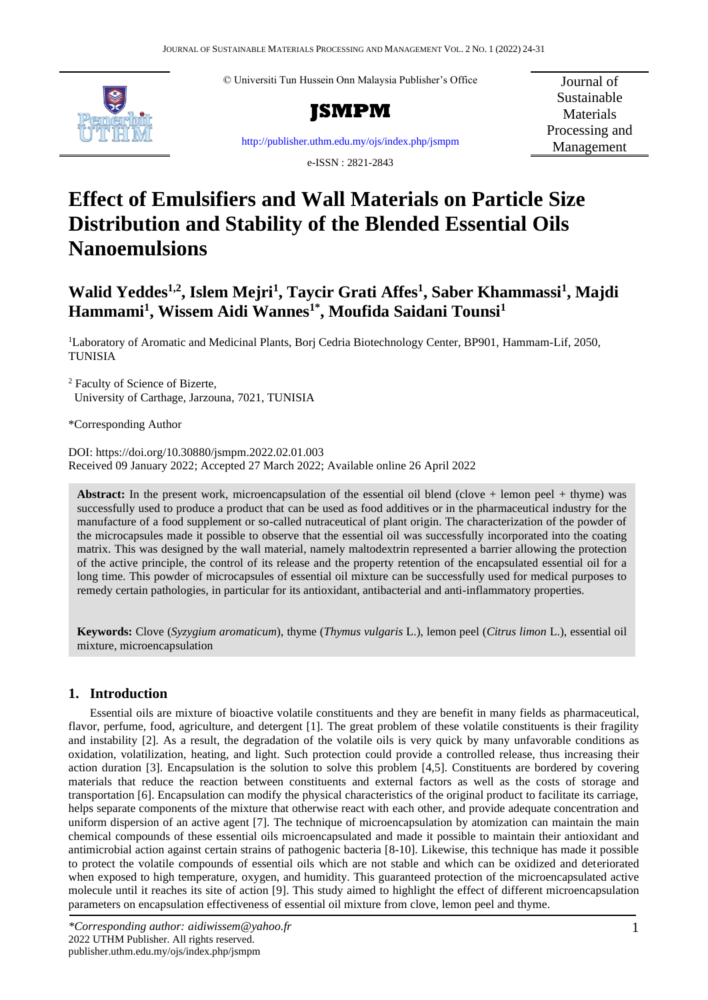© Universiti Tun Hussein Onn Malaysia Publisher's Office





Journal of Sustainable **Materials** Processing and Management

<http://publisher.uthm.edu.my/ojs/index.php/jsmpm>

e-ISSN : 2821-2843

# **Effect of Emulsifiers and Wall Materials on Particle Size Distribution and Stability of the Blended Essential Oils Nanoemulsions**

## **Walid Yeddes1,2 , Islem Mejri<sup>1</sup> , Taycir Grati Affes<sup>1</sup> , Saber Khammassi<sup>1</sup> , Majdi Hammami<sup>1</sup> , Wissem Aidi Wannes1\* , Moufida Saidani Tounsi<sup>1</sup>**

<sup>1</sup>Laboratory of Aromatic and Medicinal Plants, Borj Cedria Biotechnology Center, BP901, Hammam-Lif, 2050, TUNISIA

<sup>2</sup> Faculty of Science of Bizerte, University of Carthage, Jarzouna, 7021, TUNISIA

\*Corresponding Author

DOI: https://doi.org/10.30880/jsmpm.2022.02.01.003 Received 09 January 2022; Accepted 27 March 2022; Available online 26 April 2022

**Abstract:** In the present work, microencapsulation of the essential oil blend (clove + lemon peel + thyme) was successfully used to produce a product that can be used as food additives or in the pharmaceutical industry for the manufacture of a food supplement or so-called nutraceutical of plant origin. The characterization of the powder of the microcapsules made it possible to observe that the essential oil was successfully incorporated into the coating matrix. This was designed by the wall material, namely maltodextrin represented a barrier allowing the protection of the active principle, the control of its release and the property retention of the encapsulated essential oil for a long time. This powder of microcapsules of essential oil mixture can be successfully used for medical purposes to remedy certain pathologies, in particular for its antioxidant, antibacterial and anti-inflammatory properties.

**Keywords:** Clove (*Syzygium aromaticum*), thyme (*Thymus vulgaris* L.), lemon peel (*Citrus limon* L.), essential oil mixture, microencapsulation

## **1. Introduction**

Essential oils are mixture of bioactive volatile constituents and they are benefit in many fields as pharmaceutical, flavor, perfume, food, agriculture, and detergent [1]. The great problem of these volatile constituents is their fragility and instability [2]. As a result, the degradation of the volatile oils is very quick by many unfavorable conditions as oxidation, volatilization, heating, and light. Such protection could provide a controlled release, thus increasing their action duration [3]. Encapsulation is the solution to solve this problem [4,5]. Constituents are bordered by covering materials that reduce the reaction between constituents and external factors as well as the costs of storage and transportation [6]. Encapsulation can modify the physical characteristics of the original product to facilitate its carriage, helps separate components of the mixture that otherwise react with each other, and provide adequate concentration and uniform dispersion of an active agent [7]. The technique of microencapsulation by atomization can maintain the main chemical compounds of these essential oils microencapsulated and made it possible to maintain their antioxidant and antimicrobial action against certain strains of pathogenic bacteria [8-10]. Likewise, this technique has made it possible to protect the volatile compounds of essential oils which are not stable and which can be oxidized and deteriorated when exposed to high temperature, oxygen, and humidity. This guaranteed protection of the microencapsulated active molecule until it reaches its site of action [9]. This study aimed to highlight the effect of different microencapsulation parameters on encapsulation effectiveness of essential oil mixture from clove, lemon peel and thyme.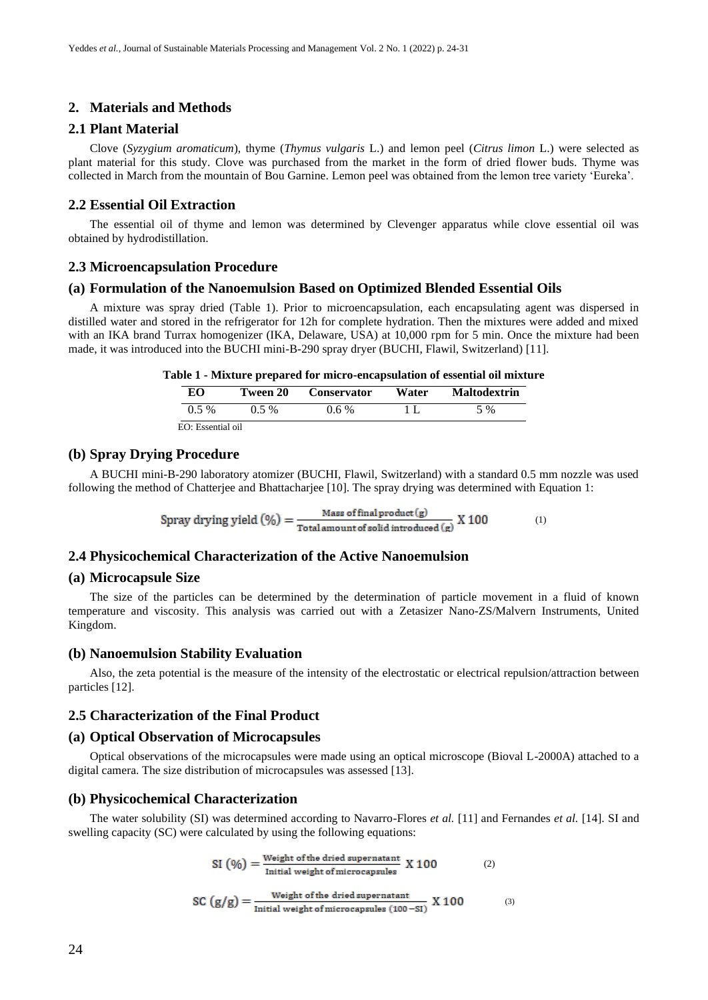## **2. Materials and Methods**

## **2.1 Plant Material**

Clove (*Syzygium aromaticum*), thyme (*Thymus vulgaris* L.) and lemon peel (*Citrus limon* L.) were selected as plant material for this study. Clove was purchased from the market in the form of dried flower buds. Thyme was collected in March from the mountain of Bou Garnine. Lemon peel was obtained from the lemon tree variety 'Eureka'.

#### **2.2 Essential Oil Extraction**

The essential oil of thyme and lemon was determined by Clevenger apparatus while clove essential oil was obtained by hydrodistillation.

## **2.3 Microencapsulation Procedure**

#### **(a) Formulation of the Nanoemulsion Based on Optimized Blended Essential Oils**

A mixture was spray dried (Table 1). Prior to microencapsulation, each encapsulating agent was dispersed in distilled water and stored in the refrigerator for 12h for complete hydration. Then the mixtures were added and mixed with an IKA brand Turrax homogenizer (IKA, Delaware, USA) at 10,000 rpm for 5 min. Once the mixture had been made, it was introduced into the BUCHI mini-B-290 spray dryer (BUCHI, Flawil, Switzerland) [11].

| Table 1 - Mixture prepared for micro-encapsulation of essential oil mixture |  |  |  |
|-----------------------------------------------------------------------------|--|--|--|
|-----------------------------------------------------------------------------|--|--|--|

| EО                | Tween 20 | <b>Conservator</b> | Water | <b>Maltodextrin</b> |  |
|-------------------|----------|--------------------|-------|---------------------|--|
| $0.5\%$           | $0.5\%$  | $0.6\%$            |       | 5 %                 |  |
| EO: Essential oil |          |                    |       |                     |  |

## **(b) Spray Drying Procedure**

A BUCHI mini-B-290 laboratory atomizer (BUCHI, Flawil, Switzerland) with a standard 0.5 mm nozzle was used following the method of Chatterjee and Bhattacharjee [10]. The spray drying was determined with Equation 1:

Spray drying yield  $(\%) = \frac{\text{Mass of final product}(g)}{\text{Total amount of solid introduced}(g)} X 100$  (1)

## **2.4 Physicochemical Characterization of the Active Nanoemulsion**

#### **(a) Microcapsule Size**

The size of the particles can be determined by the determination of particle movement in a fluid of known temperature and viscosity. This analysis was carried out with a Zetasizer Nano-ZS/Malvern Instruments, United Kingdom.

#### **(b) Nanoemulsion Stability Evaluation**

Also, the zeta potential is the measure of the intensity of the electrostatic or electrical repulsion/attraction between particles [12].

#### **2.5 Characterization of the Final Product**

#### **(a) Optical Observation of Microcapsules**

Optical observations of the microcapsules were made using an optical microscope (Bioval L-2000A) attached to a digital camera. The size distribution of microcapsules was assessed [13].

#### **(b) Physicochemical Characterization**

The water solubility (SI) was determined according to Navarro-Flores *et al.* [11] and Fernandes *et al.* [14]. SI and swelling capacity (SC) were calculated by using the following equations:

$$
SI (96) = \frac{Weight of the dried supernatant}{Initial weight of microcapsules} X 100
$$
 (2)

SC 
$$
(g/g) = \frac{\text{Weight of the dried supernatant}}{\text{Initial weight of microcapsules } (100 - S I)}
$$
 X 100 (3)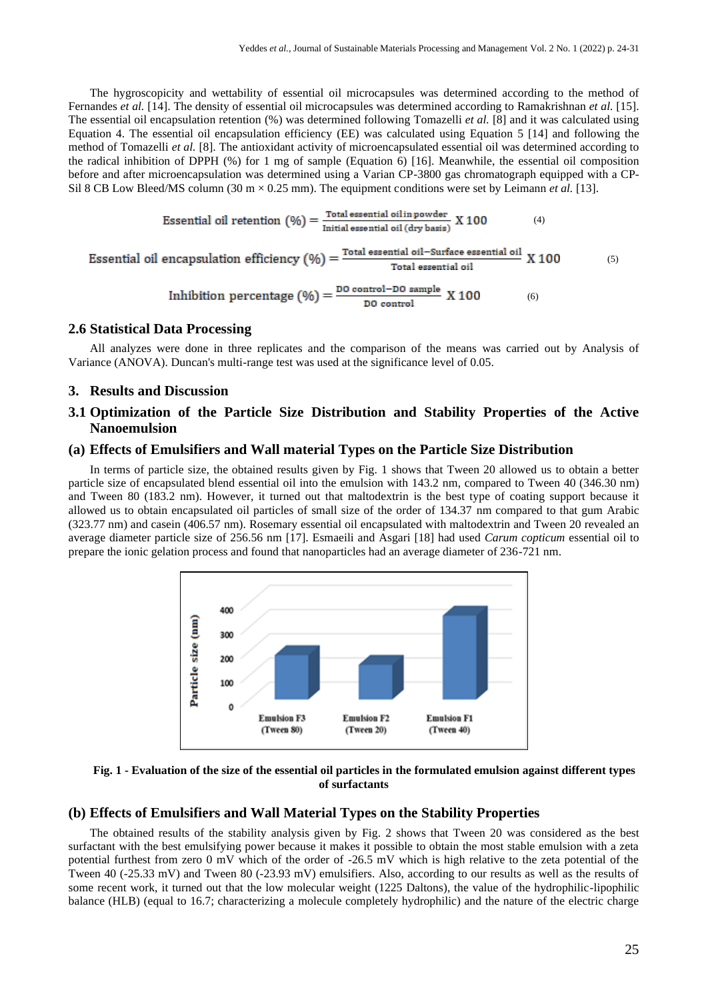The hygroscopicity and wettability of essential oil microcapsules was determined according to the method of Fernandes *et al.* [14]. The density of essential oil microcapsules was determined according to Ramakrishnan *et al.* [15]. The essential oil encapsulation retention (%) was determined following Tomazelli *et al.* [8] and it was calculated using Equation 4. The essential oil encapsulation efficiency (EE) was calculated using Equation 5 [14] and following the method of Tomazelli *et al.* [8]. The antioxidant activity of microencapsulated essential oil was determined according to the radical inhibition of DPPH (%) for 1 mg of sample (Equation 6) [16]. Meanwhile, the essential oil composition before and after microencapsulation was determined using a Varian CP-3800 gas chromatograph equipped with a CP-Sil 8 CB Low Bleed/MS column (30 m  $\times$  0.25 mm). The equipment conditions were set by Leimann *et al.* [13].

Essential oil retention 
$$
(\%) = \frac{\text{Total essential oil in powder}}{\text{Initial essential oil (dry basis)}} X 100
$$
 (4)

Essential oil encapsulation efficiency 
$$
(\%) = \frac{\text{Total essential oil} - \text{Surface essential oil}}{\text{Total essential oil}} \times 100
$$
 (5)

Inhibition percentage 
$$
(\%) = \frac{DO \text{ control} - DO \text{ sample}}{DO \text{ control}}
$$
 X 100 (6)

#### **2.6 Statistical Data Processing**

All analyzes were done in three replicates and the comparison of the means was carried out by Analysis of Variance (ANOVA). Duncan's multi-range test was used at the significance level of 0.05.

## **3. Results and Discussion**

## **3.1 Optimization of the Particle Size Distribution and Stability Properties of the Active Nanoemulsion**

#### **(a) Effects of Emulsifiers and Wall material Types on the Particle Size Distribution**

In terms of particle size, the obtained results given by Fig. 1 shows that Tween 20 allowed us to obtain a better particle size of encapsulated blend essential oil into the emulsion with 143.2 nm, compared to Tween 40 (346.30 nm) and Tween 80 (183.2 nm). However, it turned out that maltodextrin is the best type of coating support because it allowed us to obtain encapsulated oil particles of small size of the order of 134.37 nm compared to that gum Arabic (323.77 nm) and casein (406.57 nm). Rosemary essential oil encapsulated with maltodextrin and Tween 20 revealed an average diameter particle size of 256.56 nm [17]. Esmaeili and Asgari [18] had used *Carum copticum* essential oil to prepare the ionic gelation process and found that nanoparticles had an average diameter of 236-721 nm.



**Fig. 1 - Evaluation of the size of the essential oil particles in the formulated emulsion against different types of surfactants**

## **(b) Effects of Emulsifiers and Wall Material Types on the Stability Properties**

The obtained results of the stability analysis given by Fig. 2 shows that Tween 20 was considered as the best surfactant with the best emulsifying power because it makes it possible to obtain the most stable emulsion with a zeta potential furthest from zero 0 mV which of the order of -26.5 mV which is high relative to the zeta potential of the Tween 40 (-25.33 mV) and Tween 80 (-23.93 mV) emulsifiers. Also, according to our results as well as the results of some recent work, it turned out that the low molecular weight (1225 Daltons), the value of the hydrophilic-lipophilic balance (HLB) (equal to 16.7; characterizing a molecule completely hydrophilic) and the nature of the electric charge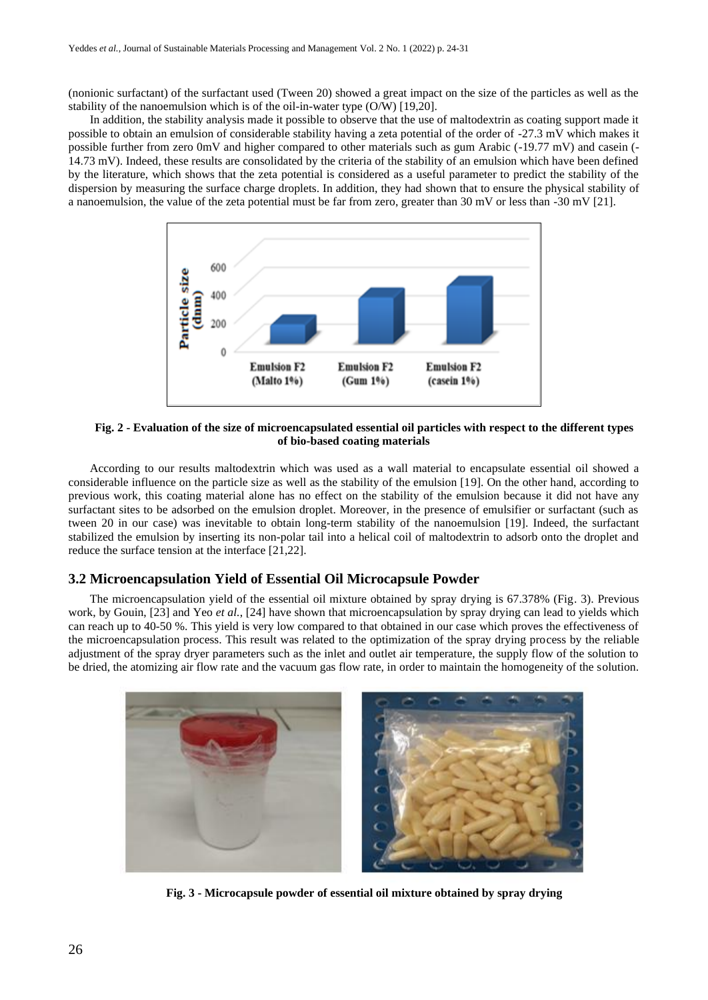(nonionic surfactant) of the surfactant used (Tween 20) showed a great impact on the size of the particles as well as the stability of the nanoemulsion which is of the oil-in-water type (O/W) [19,20].

In addition, the stability analysis made it possible to observe that the use of maltodextrin as coating support made it possible to obtain an emulsion of considerable stability having a zeta potential of the order of -27.3 mV which makes it possible further from zero 0mV and higher compared to other materials such as gum Arabic (-19.77 mV) and casein (- 14.73 mV). Indeed, these results are consolidated by the criteria of the stability of an emulsion which have been defined by the literature, which shows that the zeta potential is considered as a useful parameter to predict the stability of the dispersion by measuring the surface charge droplets. In addition, they had shown that to ensure the physical stability of a nanoemulsion, the value of the zeta potential must be far from zero, greater than 30 mV or less than -30 mV [21].



**Fig. 2 - Evaluation of the size of microencapsulated essential oil particles with respect to the different types of bio-based coating materials**

According to our results maltodextrin which was used as a wall material to encapsulate essential oil showed a considerable influence on the particle size as well as the stability of the emulsion [19]. On the other hand, according to previous work, this coating material alone has no effect on the stability of the emulsion because it did not have any surfactant sites to be adsorbed on the emulsion droplet. Moreover, in the presence of emulsifier or surfactant (such as tween 20 in our case) was inevitable to obtain long-term stability of the nanoemulsion [19]. Indeed, the surfactant stabilized the emulsion by inserting its non-polar tail into a helical coil of maltodextrin to adsorb onto the droplet and reduce the surface tension at the interface [21,22].

## **3.2 Microencapsulation Yield of Essential Oil Microcapsule Powder**

The microencapsulation yield of the essential oil mixture obtained by spray drying is 67.378% (Fig. 3). Previous work, by Gouin, [23] and Yeo *et al.*, [24] have shown that microencapsulation by spray drying can lead to yields which can reach up to 40-50 %. This yield is very low compared to that obtained in our case which proves the effectiveness of the microencapsulation process. This result was related to the optimization of the spray drying process by the reliable adjustment of the spray dryer parameters such as the inlet and outlet air temperature, the supply flow of the solution to be dried, the atomizing air flow rate and the vacuum gas flow rate, in order to maintain the homogeneity of the solution.



**Fig. 3 - Microcapsule powder of essential oil mixture obtained by spray drying**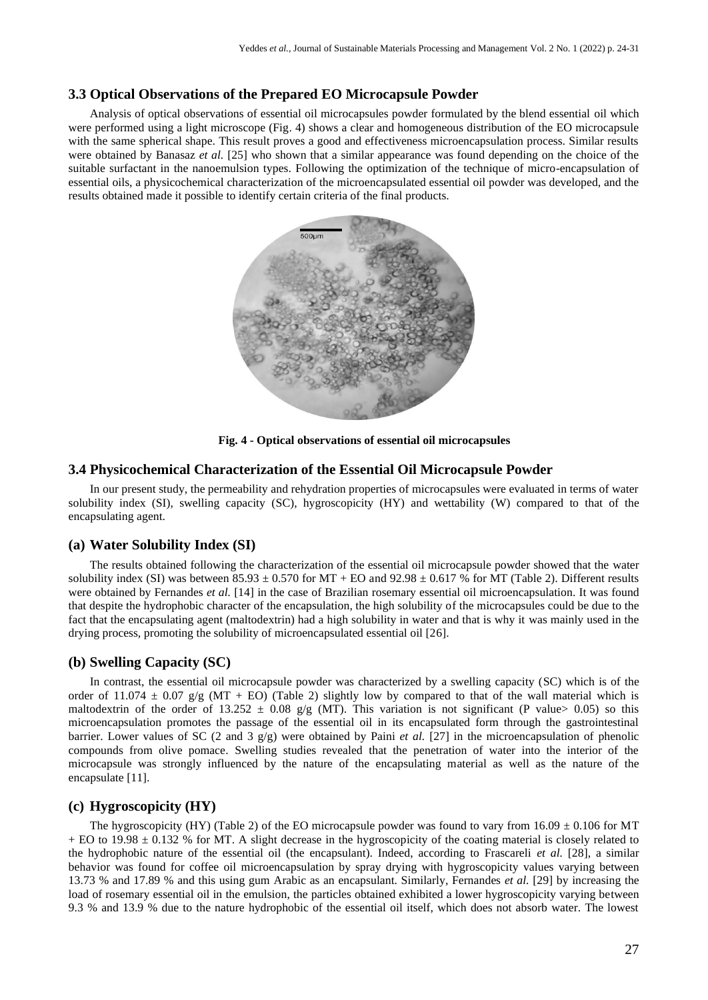## **3.3 Optical Observations of the Prepared EO Microcapsule Powder**

Analysis of optical observations of essential oil microcapsules powder formulated by the blend essential oil which were performed using a light microscope (Fig. 4) shows a clear and homogeneous distribution of the EO microcapsule with the same spherical shape. This result proves a good and effectiveness microencapsulation process. Similar results were obtained by Banasaz *et al.* [25] who shown that a similar appearance was found depending on the choice of the suitable surfactant in the nanoemulsion types. Following the optimization of the technique of micro-encapsulation of essential oils, a physicochemical characterization of the microencapsulated essential oil powder was developed, and the results obtained made it possible to identify certain criteria of the final products.



**Fig. 4 - Optical observations of essential oil microcapsules**

## **3.4 Physicochemical Characterization of the Essential Oil Microcapsule Powder**

In our present study, the permeability and rehydration properties of microcapsules were evaluated in terms of water solubility index (SI), swelling capacity (SC), hygroscopicity (HY) and wettability (W) compared to that of the encapsulating agent.

## **(a) Water Solubility Index (SI)**

The results obtained following the characterization of the essential oil microcapsule powder showed that the water solubility index (SI) was between  $85.93 \pm 0.570$  for MT + EO and  $92.98 \pm 0.617$  % for MT (Table 2). Different results were obtained by Fernandes *et al.* [14] in the case of Brazilian rosemary essential oil microencapsulation. It was found that despite the hydrophobic character of the encapsulation, the high solubility of the microcapsules could be due to the fact that the encapsulating agent (maltodextrin) had a high solubility in water and that is why it was mainly used in the drying process, promoting the solubility of microencapsulated essential oil [26].

## **(b) Swelling Capacity (SC)**

In contrast, the essential oil microcapsule powder was characterized by a swelling capacity (SC) which is of the order of 11.074  $\pm$  0.07 g/g (MT + EO) (Table 2) slightly low by compared to that of the wall material which is maltodextrin of the order of 13.252  $\pm$  0.08 g/g (MT). This variation is not significant (P value> 0.05) so this microencapsulation promotes the passage of the essential oil in its encapsulated form through the gastrointestinal barrier. Lower values of SC (2 and 3 g/g) were obtained by Paini *et al.* [27] in the microencapsulation of phenolic compounds from olive pomace. Swelling studies revealed that the penetration of water into the interior of the microcapsule was strongly influenced by the nature of the encapsulating material as well as the nature of the encapsulate [11].

## **(c) Hygroscopicity (HY)**

The hygroscopicity (HY) (Table 2) of the EO microcapsule powder was found to vary from  $16.09 \pm 0.106$  for MT  $+$  EO to 19.98  $\pm$  0.132 % for MT. A slight decrease in the hygroscopicity of the coating material is closely related to the hydrophobic nature of the essential oil (the encapsulant). Indeed, according to Frascareli *et al.* [28], a similar behavior was found for coffee oil microencapsulation by spray drying with hygroscopicity values varying between 13.73 % and 17.89 % and this using gum Arabic as an encapsulant. Similarly, Fernandes *et al.* [29] by increasing the load of rosemary essential oil in the emulsion, the particles obtained exhibited a lower hygroscopicity varying between 9.3 % and 13.9 % due to the nature hydrophobic of the essential oil itself, which does not absorb water. The lowest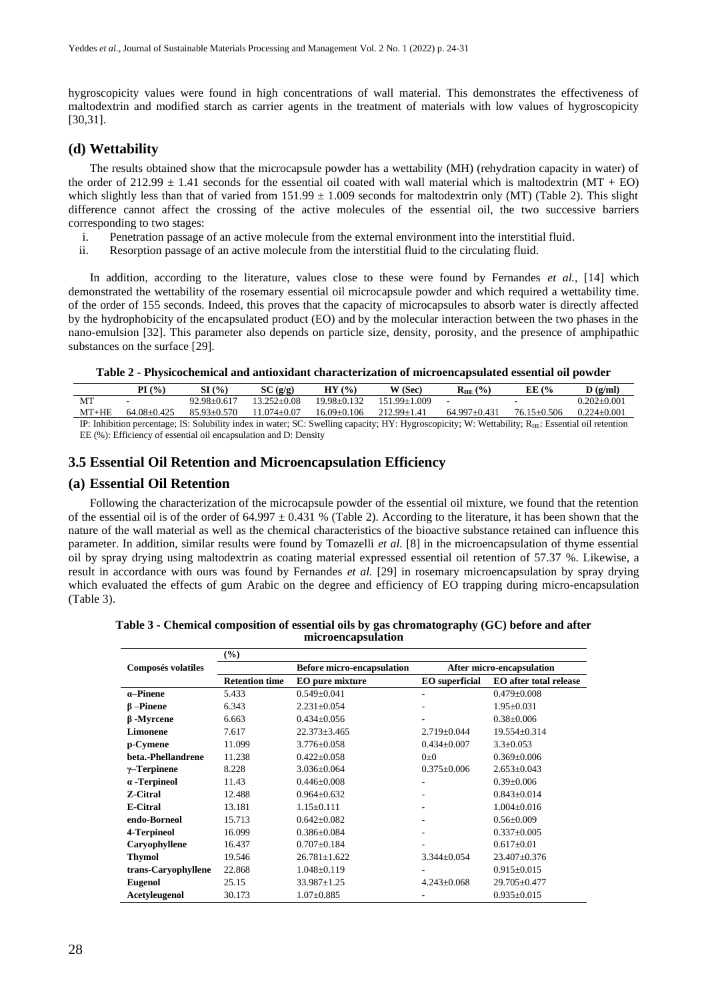hygroscopicity values were found in high concentrations of wall material. This demonstrates the effectiveness of maltodextrin and modified starch as carrier agents in the treatment of materials with low values of hygroscopicity [30,31].

## **(d) Wettability**

The results obtained show that the microcapsule powder has a wettability (MH) (rehydration capacity in water) of the order of  $212.99 \pm 1.41$  seconds for the essential oil coated with wall material which is maltodextrin (MT + EO) which slightly less than that of varied from  $151.99 \pm 1.009$  seconds for maltodextrin only (MT) (Table 2). This slight difference cannot affect the crossing of the active molecules of the essential oil, the two successive barriers corresponding to two stages:

- i. Penetration passage of an active molecule from the external environment into the interstitial fluid.
- ii. Resorption passage of an active molecule from the interstitial fluid to the circulating fluid.

In addition, according to the literature, values close to these were found by Fernandes *et al.*, [14] which demonstrated the wettability of the rosemary essential oil microcapsule powder and which required a wettability time. of the order of 155 seconds. Indeed, this proves that the capacity of microcapsules to absorb water is directly affected by the hydrophobicity of the encapsulated product (EO) and by the molecular interaction between the two phases in the nano-emulsion [32]. This parameter also depends on particle size, density, porosity, and the presence of amphipathic substances on the surface [29].

#### **Table 2 - Physicochemical and antioxidant characterization of microencapsulated essential oil powder**

|                                                                                                                                                         | $\mathbf{P}$ [ $\left(\frac{0}{0}\right)$ | (9/0)           | SC(g/g)       | $($ %)<br>НY | W (Sec)      | $($ %)<br>$R_{\rm HE}$ | EE (%       | $\bf{D}$ (g/ml) |
|---------------------------------------------------------------------------------------------------------------------------------------------------------|-------------------------------------------|-----------------|---------------|--------------|--------------|------------------------|-------------|-----------------|
| <b>MT</b>                                                                                                                                               |                                           | $92.98 + 0.617$ | 13.252+0.08   | 19.98+0.132  | 151.99+1.009 |                        |             | 0.202+0.001     |
| MT+HE                                                                                                                                                   | 64 08 + 0425                              | $85.93 + 0.570$ | $-074 + 0.07$ | 16.09+0.106  | 212.99+1.41  | $64997+0431$           | 76 15+0 506 | $0.224 + 0.001$ |
| IP: Inhibition percentage: IS: Solubility index in water: SC: Swelling capacity: HY: Hygroscopicity: W: Wettability: $R_{HF}$ : Essential oil retention |                                           |                 |               |              |              |                        |             |                 |

IP: Inhibition percentage; IS: Solubility index in water; SC: Swelling capacity; HY: Hygroscopicity; W: Wettability; R<sub>HE</sub>: Essential oil retention EE (%): Efficiency of essential oil encapsulation and D: Density

## **3.5 Essential Oil Retention and Microencapsulation Efficiency**

#### **(a) Essential Oil Retention**

Following the characterization of the microcapsule powder of the essential oil mixture, we found that the retention of the essential oil is of the order of 64.997  $\pm$  0.431 % (Table 2). According to the literature, it has been shown that the nature of the wall material as well as the chemical characteristics of the bioactive substance retained can influence this parameter. In addition, similar results were found by Tomazelli *et al.* [8] in the microencapsulation of thyme essential oil by spray drying using maltodextrin as coating material expressed essential oil retention of 57.37 %. Likewise, a result in accordance with ours was found by Fernandes *et al.* [29] in rosemary microencapsulation by spray drying which evaluated the effects of gum Arabic on the degree and efficiency of EO trapping during micro-encapsulation (Table 3).

**Table 3 - Chemical composition of essential oils by gas chromatography (GC) before and after microencapsulation**

|                           | $\left( \frac{6}{2} \right)$ |                                   |                       |                               |  |  |
|---------------------------|------------------------------|-----------------------------------|-----------------------|-------------------------------|--|--|
| <b>Composés volatiles</b> |                              | <b>Before micro-encapsulation</b> |                       | After micro-encapsulation     |  |  |
|                           | <b>Retention time</b>        | EO pure mixture                   | <b>EO</b> superficial | <b>EO</b> after total release |  |  |
| $\alpha$ -Pinene          | 5.433                        | $0.549 \pm 0.041$                 | ۰                     | $0.479 \pm 0.008$             |  |  |
| $\beta$ -Pinene           | 6.343                        | $2.231 \pm 0.054$                 |                       | $1.95 \pm 0.031$              |  |  |
| $\beta$ -Myrcene          | 6.663                        | $0.434 + 0.056$                   | ۰                     | $0.38 \pm 0.006$              |  |  |
| Limonene                  | 7.617                        | $22.373 \pm 3.465$                | $2.719 \pm 0.044$     | 19.554±0.314                  |  |  |
| p-Cymene                  | 11.099                       | $3.776 \pm 0.058$                 | $0.434 \pm 0.007$     | $3.3 \pm 0.053$               |  |  |
| beta.-Phellandrene        | 11.238                       | $0.422 \pm 0.058$                 | $0\pm 0$              | $0.369 \pm 0.006$             |  |  |
| $\gamma$ -Terpinene       | 8.228                        | $3.036 \pm 0.064$                 | $0.375 \pm 0.006$     | $2.653 \pm 0.043$             |  |  |
| $\alpha$ -Terpineol       | 11.43                        | $0.446 \pm 0.008$                 | ۰                     | $0.39 \pm 0.006$              |  |  |
| <b>Z-Citral</b>           | 12.488                       | $0.964 + 0.632$                   |                       | $0.843 + 0.014$               |  |  |
| <b>E-Citral</b>           | 13.181                       | $1.15 \pm 0.111$                  | ۰                     | $1.004 \pm 0.016$             |  |  |
| endo-Borneol              | 15.713                       | $0.642 \pm 0.082$                 | ۰                     | $0.56 \pm 0.009$              |  |  |
| 4-Terpineol               | 16.099                       | $0.386 + 0.084$                   | ۰                     | $0.337+0.005$                 |  |  |
| Caryophyllene             | 16.437                       | $0.707 + 0.184$                   |                       | $0.617 \pm 0.01$              |  |  |
| <b>Thymol</b>             | 19.546                       | $26.781 \pm 1.622$                | $3.344 \pm 0.054$     | $23.407 \pm 0.376$            |  |  |
| trans-Caryophyllene       | 22.868                       | $1.048 \pm 0.119$                 |                       | $0.915 \pm 0.015$             |  |  |
| <b>Eugenol</b>            | 25.15                        | $33.987 \pm 1.25$                 | $4.243 \pm 0.068$     | $29.705 \pm 0.477$            |  |  |
| Acetyleugenol             | 30.173                       | $1.07 \pm 0.885$                  |                       | $0.935 \pm 0.015$             |  |  |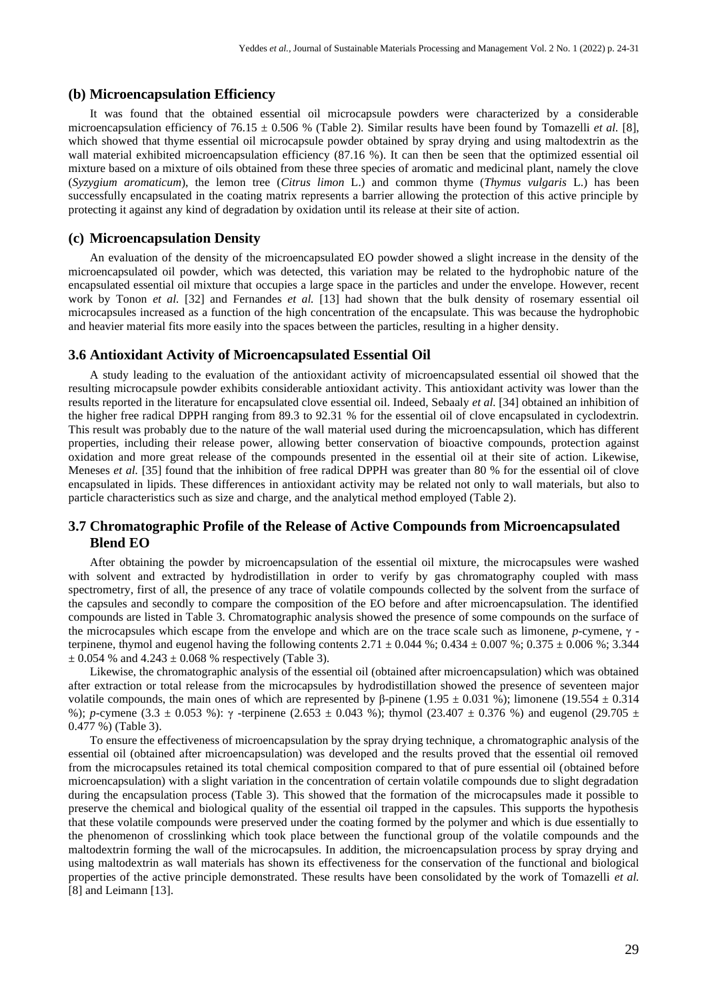#### **(b) Microencapsulation Efficiency**

It was found that the obtained essential oil microcapsule powders were characterized by a considerable microencapsulation efficiency of  $76.15 \pm 0.506$  % (Table 2). Similar results have been found by Tomazelli *et al.* [8], which showed that thyme essential oil microcapsule powder obtained by spray drying and using maltodextrin as the wall material exhibited microencapsulation efficiency (87.16 %). It can then be seen that the optimized essential oil mixture based on a mixture of oils obtained from these three species of aromatic and medicinal plant, namely the clove (*Syzygium aromaticum*), the lemon tree (*Citrus limon* L.) and common thyme (*Thymus vulgaris* L.) has been successfully encapsulated in the coating matrix represents a barrier allowing the protection of this active principle by protecting it against any kind of degradation by oxidation until its release at their site of action.

#### **(c) Microencapsulation Density**

An evaluation of the density of the microencapsulated EO powder showed a slight increase in the density of the microencapsulated oil powder, which was detected, this variation may be related to the hydrophobic nature of the encapsulated essential oil mixture that occupies a large space in the particles and under the envelope. However, recent work by Tonon *et al.* [32] and Fernandes *et al.* [13] had shown that the bulk density of rosemary essential oil microcapsules increased as a function of the high concentration of the encapsulate. This was because the hydrophobic and heavier material fits more easily into the spaces between the particles, resulting in a higher density.

#### **3.6 Antioxidant Activity of Microencapsulated Essential Oil**

A study leading to the evaluation of the antioxidant activity of microencapsulated essential oil showed that the resulting microcapsule powder exhibits considerable antioxidant activity. This antioxidant activity was lower than the results reported in the literature for encapsulated clove essential oil. Indeed, Sebaaly *et al.* [34] obtained an inhibition of the higher free radical DPPH ranging from 89.3 to 92.31 % for the essential oil of clove encapsulated in cyclodextrin. This result was probably due to the nature of the wall material used during the microencapsulation, which has different properties, including their release power, allowing better conservation of bioactive compounds, protection against oxidation and more great release of the compounds presented in the essential oil at their site of action. Likewise, Meneses *et al.* [35] found that the inhibition of free radical DPPH was greater than 80 % for the essential oil of clove encapsulated in lipids. These differences in antioxidant activity may be related not only to wall materials, but also to particle characteristics such as size and charge, and the analytical method employed (Table 2).

## **3.7 Chromatographic Profile of the Release of Active Compounds from Microencapsulated Blend EO**

After obtaining the powder by microencapsulation of the essential oil mixture, the microcapsules were washed with solvent and extracted by hydrodistillation in order to verify by gas chromatography coupled with mass spectrometry, first of all, the presence of any trace of volatile compounds collected by the solvent from the surface of the capsules and secondly to compare the composition of the EO before and after microencapsulation. The identified compounds are listed in Table 3. Chromatographic analysis showed the presence of some compounds on the surface of the microcapsules which escape from the envelope and which are on the trace scale such as limonene, *p*-cymene, γ terpinene, thymol and eugenol having the following contents  $2.71 \pm 0.044$  %;  $0.434 \pm 0.007$  %;  $0.375 \pm 0.006$  %; 3.344  $\pm$  0.054 % and 4.243  $\pm$  0.068 % respectively (Table 3).

Likewise, the chromatographic analysis of the essential oil (obtained after microencapsulation) which was obtained after extraction or total release from the microcapsules by hydrodistillation showed the presence of seventeen major volatile compounds, the main ones of which are represented by β-pinene (1.95  $\pm$  0.031 %); limonene (19.554  $\pm$  0.314 %); *p*-cymene (3.3  $\pm$  0.053 %):  $\gamma$ -terpinene (2.653  $\pm$  0.043 %); thymol (23.407  $\pm$  0.376 %) and eugenol (29.705  $\pm$ 0.477 %) (Table 3).

To ensure the effectiveness of microencapsulation by the spray drying technique, a chromatographic analysis of the essential oil (obtained after microencapsulation) was developed and the results proved that the essential oil removed from the microcapsules retained its total chemical composition compared to that of pure essential oil (obtained before microencapsulation) with a slight variation in the concentration of certain volatile compounds due to slight degradation during the encapsulation process (Table 3). This showed that the formation of the microcapsules made it possible to preserve the chemical and biological quality of the essential oil trapped in the capsules. This supports the hypothesis that these volatile compounds were preserved under the coating formed by the polymer and which is due essentially to the phenomenon of crosslinking which took place between the functional group of the volatile compounds and the maltodextrin forming the wall of the microcapsules. In addition, the microencapsulation process by spray drying and using maltodextrin as wall materials has shown its effectiveness for the conservation of the functional and biological properties of the active principle demonstrated. These results have been consolidated by the work of Tomazelli *et al.* [8] and Leimann [13].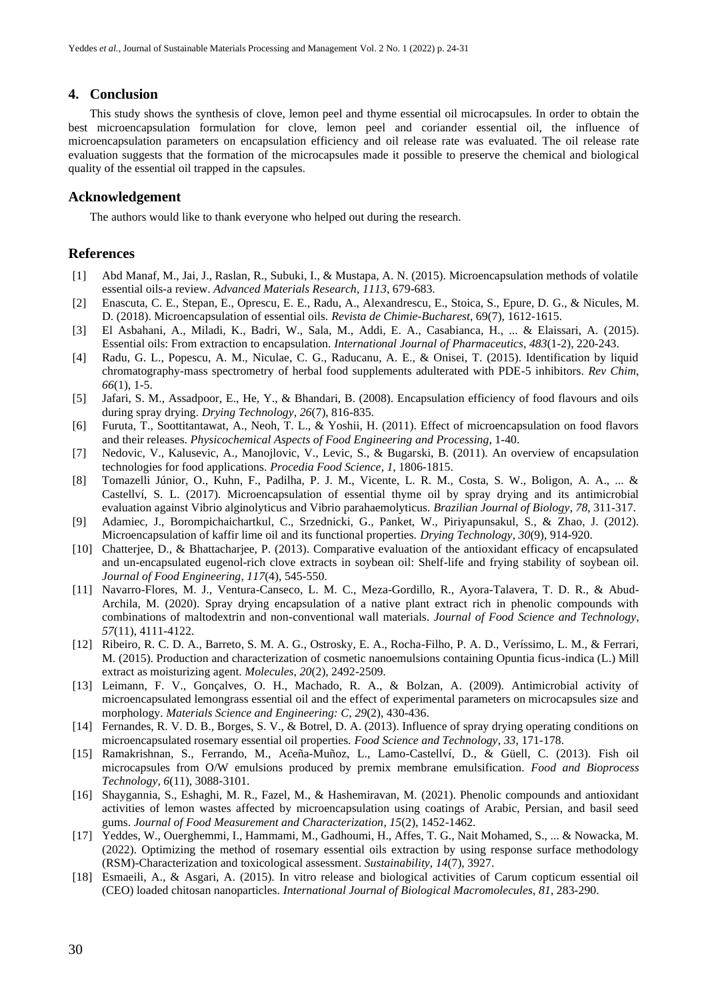#### **4. Conclusion**

This study shows the synthesis of clove, lemon peel and thyme essential oil microcapsules. In order to obtain the best microencapsulation formulation for clove, lemon peel and coriander essential oil, the influence of microencapsulation parameters on encapsulation efficiency and oil release rate was evaluated. The oil release rate evaluation suggests that the formation of the microcapsules made it possible to preserve the chemical and biological quality of the essential oil trapped in the capsules.

#### **Acknowledgement**

The authors would like to thank everyone who helped out during the research.

## **References**

- [1] Abd Manaf, M., Jai, J., Raslan, R., Subuki, I., & Mustapa, A. N. (2015). Microencapsulation methods of volatile essential oils-a review. *Advanced Materials Research*, *1113*, 679-683.
- [2] Enascuta, C. E., Stepan, E., Oprescu, E. E., Radu, A., Alexandrescu, E., Stoica, S., Epure, D. G., & Nicules, M. D. (2018). Microencapsulation of essential oils. *Revista de Chimie-Bucharest*, 69(7), 1612-1615.
- [3] El Asbahani, A., Miladi, K., Badri, W., Sala, M., Addi, E. A., Casabianca, H., ... & Elaissari, A. (2015). Essential oils: From extraction to encapsulation. *International Journal of Pharmaceutics*, *483*(1-2), 220-243.
- [4] Radu, G. L., Popescu, A. M., Niculae, C. G., Raducanu, A. E., & Onisei, T. (2015). Identification by liquid chromatography-mass spectrometry of herbal food supplements adulterated with PDE-5 inhibitors. *Rev Chim*, *66*(1), 1-5.
- [5] Jafari, S. M., Assadpoor, E., He, Y., & Bhandari, B. (2008). Encapsulation efficiency of food flavours and oils during spray drying. *Drying Technology*, *26*(7), 816-835.
- [6] Furuta, T., Soottitantawat, A., Neoh, T. L., & Yoshii, H. (2011). Effect of microencapsulation on food flavors and their releases. *Physicochemical Aspects of Food Engineering and Processing*, 1-40.
- [7] Nedovic, V., Kalusevic, A., Manojlovic, V., Levic, S., & Bugarski, B. (2011). An overview of encapsulation technologies for food applications. *Procedia Food Science*, *1*, 1806-1815.
- [8] Tomazelli Júnior, O., Kuhn, F., Padilha, P. J. M., Vicente, L. R. M., Costa, S. W., Boligon, A. A., ... & Castellví, S. L. (2017). Microencapsulation of essential thyme oil by spray drying and its antimicrobial evaluation against Vibrio alginolyticus and Vibrio parahaemolyticus. *Brazilian Journal of Biology*, *78*, 311-317.
- [9] Adamiec, J., Borompichaichartkul, C., Srzednicki, G., Panket, W., Piriyapunsakul, S., & Zhao, J. (2012). Microencapsulation of kaffir lime oil and its functional properties. *Drying Technology*, *30*(9), 914-920.
- [10] Chatterjee, D., & Bhattacharjee, P. (2013). Comparative evaluation of the antioxidant efficacy of encapsulated and un-encapsulated eugenol-rich clove extracts in soybean oil: Shelf-life and frying stability of soybean oil. *Journal of Food Engineering*, *117*(4), 545-550.
- [11] Navarro-Flores, M. J., Ventura-Canseco, L. M. C., Meza-Gordillo, R., Ayora-Talavera, T. D. R., & Abud-Archila, M. (2020). Spray drying encapsulation of a native plant extract rich in phenolic compounds with combinations of maltodextrin and non-conventional wall materials. *Journal of Food Science and Technology*, *57*(11), 4111-4122.
- [12] Ribeiro, R. C. D. A., Barreto, S. M. A. G., Ostrosky, E. A., Rocha-Filho, P. A. D., Veríssimo, L. M., & Ferrari, M. (2015). Production and characterization of cosmetic nanoemulsions containing Opuntia ficus-indica (L.) Mill extract as moisturizing agent. *Molecules*, *20*(2), 2492-2509.
- [13] Leimann, F. V., Gonçalves, O. H., Machado, R. A., & Bolzan, A. (2009). Antimicrobial activity of microencapsulated lemongrass essential oil and the effect of experimental parameters on microcapsules size and morphology. *Materials Science and Engineering: C*, *29*(2), 430-436.
- [14] Fernandes, R. V. D. B., Borges, S. V., & Botrel, D. A. (2013). Influence of spray drying operating conditions on microencapsulated rosemary essential oil properties. *Food Science and Technology*, *33*, 171-178.
- [15] Ramakrishnan, S., Ferrando, M., Aceña-Muñoz, L., Lamo-Castellví, D., & Güell, C. (2013). Fish oil microcapsules from O/W emulsions produced by premix membrane emulsification. *Food and Bioprocess Technology*, *6*(11), 3088-3101.
- [16] Shaygannia, S., Eshaghi, M. R., Fazel, M., & Hashemiravan, M. (2021). Phenolic compounds and antioxidant activities of lemon wastes affected by microencapsulation using coatings of Arabic, Persian, and basil seed gums. *Journal of Food Measurement and Characterization*, *15*(2), 1452-1462.
- [17] Yeddes, W., Ouerghemmi, I., Hammami, M., Gadhoumi, H., Affes, T. G., Nait Mohamed, S., ... & Nowacka, M. (2022). Optimizing the method of rosemary essential oils extraction by using response surface methodology (RSM)-Characterization and toxicological assessment. *Sustainability*, *14*(7), 3927.
- [18] Esmaeili, A., & Asgari, A. (2015). In vitro release and biological activities of Carum copticum essential oil (CEO) loaded chitosan nanoparticles. *International Journal of Biological Macromolecules*, *81*, 283-290.